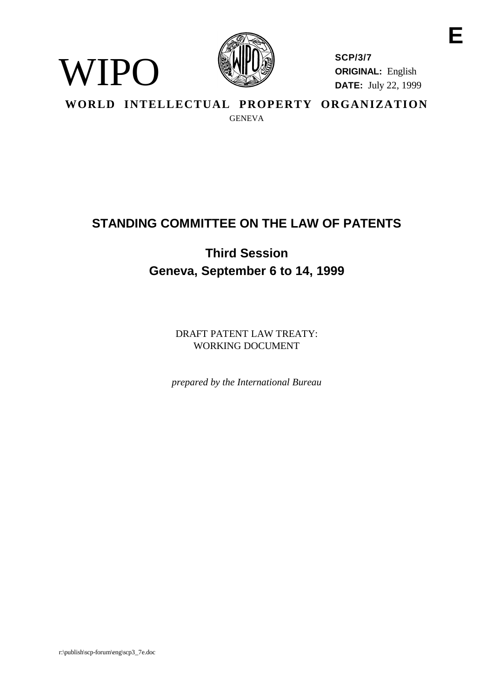

**SCP/3/7 ORIGINAL:** English **DATE:** July 22, 1999 **E**

**WORLD INTELLECTUAL PROPERTY ORGANIZATION** GENEVA

# **STANDING COMMITTEE ON THE LAW OF PATENTS**

# **Third Session Geneva, September 6 to 14, 1999**

DRAFT PATENT LAW TREATY: WORKING DOCUMENT

*prepared by the International Bureau*

WIPO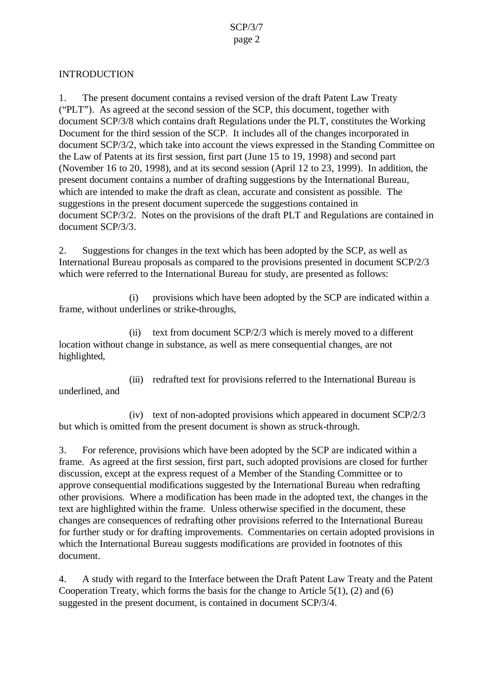### INTRODUCTION

1. The present document contains a revised version of the draft Patent Law Treaty ("PLT"). As agreed at the second session of the SCP, this document, together with document SCP/3/8 which contains draft Regulations under the PLT, constitutes the Working Document for the third session of the SCP. It includes all of the changes incorporated in document SCP/3/2, which take into account the views expressed in the Standing Committee on the Law of Patents at its first session, first part (June 15 to 19, 1998) and second part (November 16 to 20, 1998), and at its second session (April 12 to 23, 1999). In addition, the present document contains a number of drafting suggestions by the International Bureau, which are intended to make the draft as clean, accurate and consistent as possible. The suggestions in the present document supercede the suggestions contained in document SCP/3/2. Notes on the provisions of the draft PLT and Regulations are contained in document SCP/3/3.

2. Suggestions for changes in the text which has been adopted by the SCP, as well as International Bureau proposals as compared to the provisions presented in document SCP/2/3 which were referred to the International Bureau for study, are presented as follows:

(i) provisions which have been adopted by the SCP are indicated within a frame, without underlines or strike-throughs,

(ii) text from document SCP/2/3 which is merely moved to a different location without change in substance, as well as mere consequential changes, are not highlighted,

(iii) redrafted text for provisions referred to the International Bureau is underlined, and

(iv) text of non-adopted provisions which appeared in document SCP/2/3 but which is omitted from the present document is shown as struck-through.

3. For reference, provisions which have been adopted by the SCP are indicated within a frame. As agreed at the first session, first part, such adopted provisions are closed for further discussion, except at the express request of a Member of the Standing Committee or to approve consequential modifications suggested by the International Bureau when redrafting other provisions. Where a modification has been made in the adopted text, the changes in the text are highlighted within the frame. Unless otherwise specified in the document, these changes are consequences of redrafting other provisions referred to the International Bureau for further study or for drafting improvements. Commentaries on certain adopted provisions in which the International Bureau suggests modifications are provided in footnotes of this document.

4. A study with regard to the Interface between the Draft Patent Law Treaty and the Patent Cooperation Treaty, which forms the basis for the change to Article 5(1), (2) and (6) suggested in the present document, is contained in document SCP/3/4.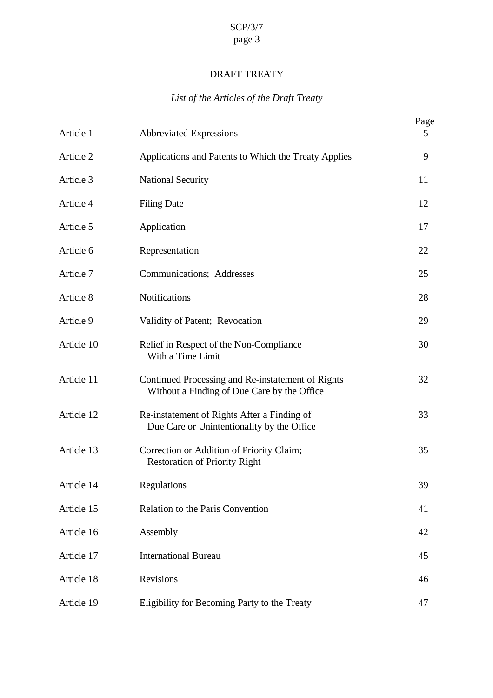## DRAFT TREATY

## *List of the Articles of the Draft Treaty*

| Article 1  | <b>Abbreviated Expressions</b>                                                                   | Page<br>5 |
|------------|--------------------------------------------------------------------------------------------------|-----------|
| Article 2  | Applications and Patents to Which the Treaty Applies                                             | 9         |
| Article 3  | <b>National Security</b>                                                                         | 11        |
| Article 4  | <b>Filing Date</b>                                                                               | 12        |
| Article 5  | Application                                                                                      | 17        |
| Article 6  | Representation                                                                                   | 22        |
| Article 7  | Communications; Addresses                                                                        | 25        |
| Article 8  | Notifications                                                                                    | 28        |
| Article 9  | Validity of Patent; Revocation                                                                   | 29        |
| Article 10 | Relief in Respect of the Non-Compliance<br>With a Time Limit                                     | 30        |
| Article 11 | Continued Processing and Re-instatement of Rights<br>Without a Finding of Due Care by the Office | 32        |
| Article 12 | Re-instatement of Rights After a Finding of<br>Due Care or Unintentionality by the Office        | 33        |
| Article 13 | Correction or Addition of Priority Claim;<br><b>Restoration of Priority Right</b>                | 35        |
| Article 14 | Regulations                                                                                      | 39        |
| Article 15 | <b>Relation to the Paris Convention</b>                                                          | 41        |
| Article 16 | Assembly                                                                                         | 42        |
| Article 17 | <b>International Bureau</b>                                                                      | 45        |
| Article 18 | Revisions                                                                                        | 46        |
| Article 19 | Eligibility for Becoming Party to the Treaty                                                     | 47        |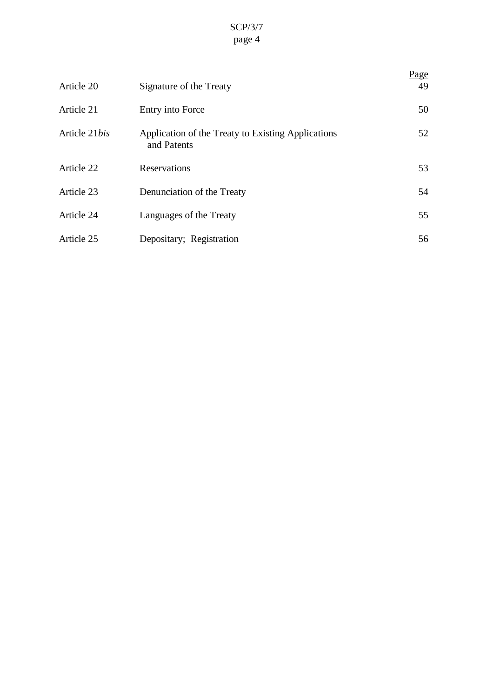| Article 20    | Signature of the Treaty                                           | <u>Page</u><br>49 |
|---------------|-------------------------------------------------------------------|-------------------|
| Article 21    | Entry into Force                                                  | 50                |
| Article 21bis | Application of the Treaty to Existing Applications<br>and Patents | 52                |
| Article 22    | Reservations                                                      | 53                |
| Article 23    | Denunciation of the Treaty                                        | 54                |
| Article 24    | Languages of the Treaty                                           | 55                |
| Article 25    | Depositary; Registration                                          | 56                |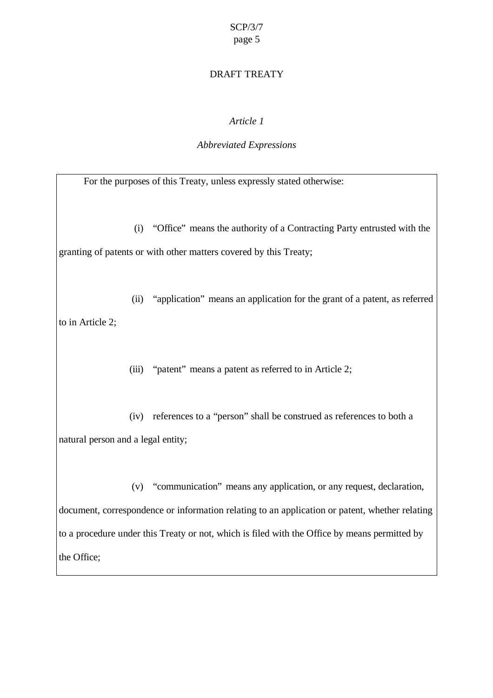### DRAFT TREATY

### *Article 1*

### *Abbreviated Expressions*

For the purposes of this Treaty, unless expressly stated otherwise:

(i) "Office" means the authority of a Contracting Party entrusted with the granting of patents or with other matters covered by this Treaty;

(ii) "application" means an application for the grant of a patent, as referred to in Article 2;

(iii) "patent" means a patent as referred to in Article 2;

(iv) references to a "person" shall be construed as references to both a natural person and a legal entity;

(v) "communication" means any application, or any request, declaration, document, correspondence or information relating to an application or patent, whether relating to a procedure under this Treaty or not, which is filed with the Office by means permitted by the Office;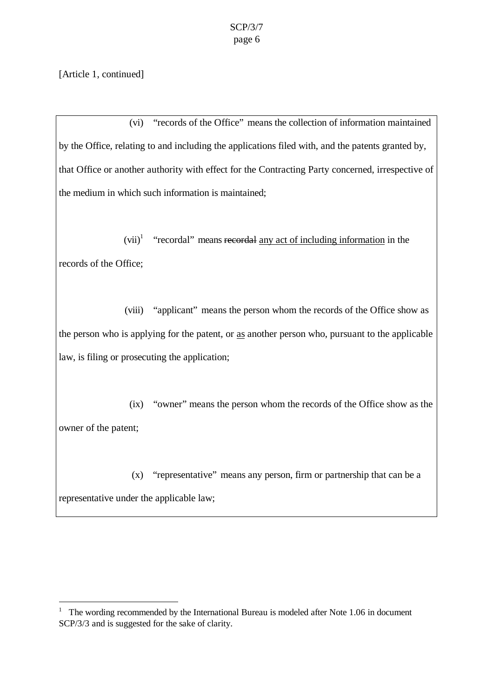[Article 1, continued]

 $\overline{a}$ 

(vi) "records of the Office" means the collection of information maintained by the Office, relating to and including the applications filed with, and the patents granted by, that Office or another authority with effect for the Contracting Party concerned, irrespective of the medium in which such information is maintained;

 $(vii)^1$  "recordal" means recordal any act of including information in the records of the Office;

(viii) "applicant" means the person whom the records of the Office show as the person who is applying for the patent, or as another person who, pursuant to the applicable law, is filing or prosecuting the application;

(ix) "owner" means the person whom the records of the Office show as the owner of the patent;

(x) "representative" means any person, firm or partnership that can be a representative under the applicable law;

<sup>&</sup>lt;sup>1</sup> The wording recommended by the International Bureau is modeled after Note 1.06 in document SCP/3/3 and is suggested for the sake of clarity.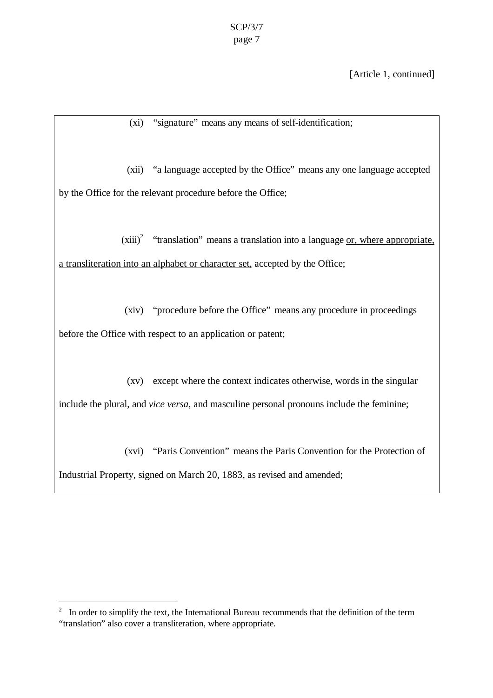[Article 1, continued]

(xi) "signature" means any means of self-identification;

(xii) "a language accepted by the Office" means any one language accepted by the Office for the relevant procedure before the Office;

 $(xiii)<sup>2</sup>$  "translation" means a translation into a language <u>or, where appropriate</u>, a transliteration into an alphabet or character set, accepted by the Office;

(xiv) "procedure before the Office" means any procedure in proceedings before the Office with respect to an application or patent;

(xv) except where the context indicates otherwise, words in the singular include the plural, and *vice versa*, and masculine personal pronouns include the feminine;

(xvi) "Paris Convention" means the Paris Convention for the Protection of Industrial Property, signed on March 20, 1883, as revised and amended;

 $\overline{a}$ 

 $2\;\;$  In order to simplify the text, the International Bureau recommends that the definition of the term "translation" also cover a transliteration, where appropriate.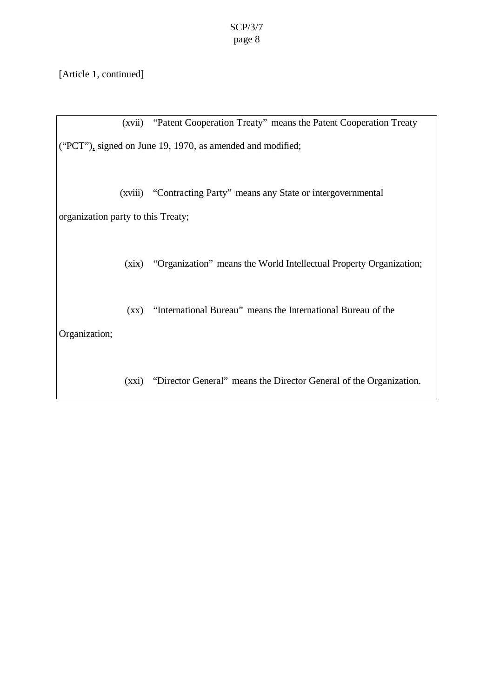[Article 1, continued]

(xvii) "Patent Cooperation Treaty" means the Patent Cooperation Treaty ("PCT"), signed on June 19, 1970, as amended and modified;

(xviii) "Contracting Party" means any State or intergovernmental organization party to this Treaty;

(xix) "Organization" means the World Intellectual Property Organization;

(xx) "International Bureau" means the International Bureau of the Organization;

(xxi) "Director General" means the Director General of the Organization.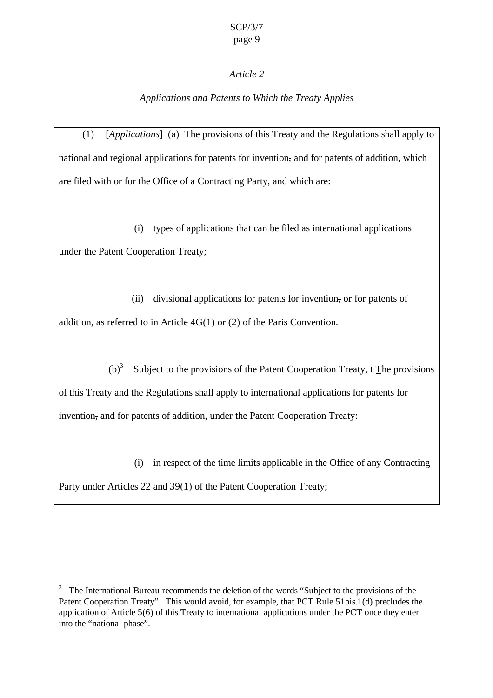### *Article 2*

## *Applications and Patents to Which the Treaty Applies*

(1) [*Applications*] (a) The provisions of this Treaty and the Regulations shall apply to national and regional applications for patents for invention, and for patents of addition, which are filed with or for the Office of a Contracting Party, and which are:

(i) types of applications that can be filed as international applications under the Patent Cooperation Treaty;

(ii) divisional applications for patents for invention, or for patents of addition, as referred to in Article 4G(1) or (2) of the Paris Convention.

(b)<sup>3</sup> Subject to the provisions of the Patent Cooperation Treaty,  $t$  The provisions of this Treaty and the Regulations shall apply to international applications for patents for invention, and for patents of addition, under the Patent Cooperation Treaty:

(i) in respect of the time limits applicable in the Office of any Contracting

Party under Articles 22 and 39(1) of the Patent Cooperation Treaty;

 $\overline{a}$ 

<sup>&</sup>lt;sup>3</sup> The International Bureau recommends the deletion of the words "Subject to the provisions of the Patent Cooperation Treaty". This would avoid, for example, that PCT Rule 51bis.1(d) precludes the application of Article 5(6) of this Treaty to international applications under the PCT once they enter into the "national phase".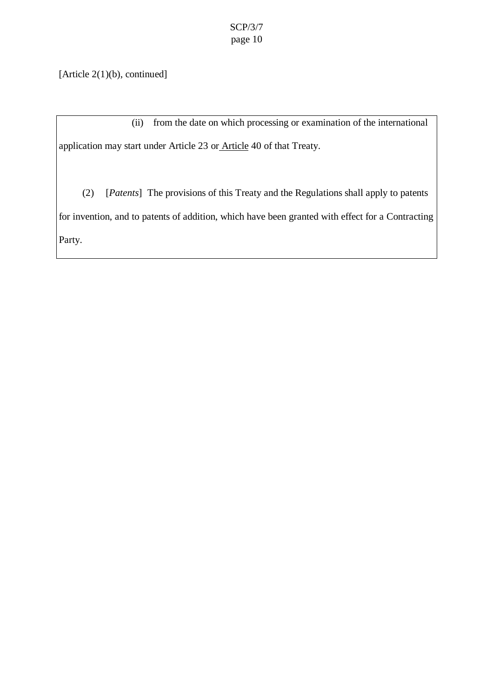[Article 2(1)(b), continued]

(ii) from the date on which processing or examination of the international application may start under Article 23 or Article 40 of that Treaty.

(2) [*Patents*] The provisions of this Treaty and the Regulations shall apply to patents for invention, and to patents of addition, which have been granted with effect for a Contracting Party.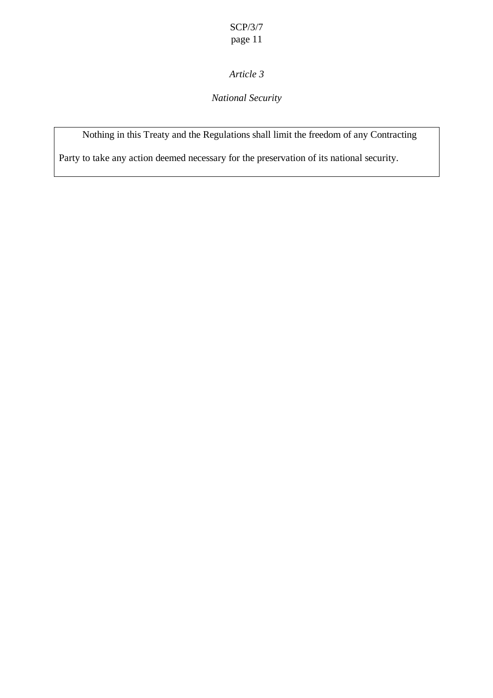## *Article 3*

## *National Security*

Nothing in this Treaty and the Regulations shall limit the freedom of any Contracting

Party to take any action deemed necessary for the preservation of its national security.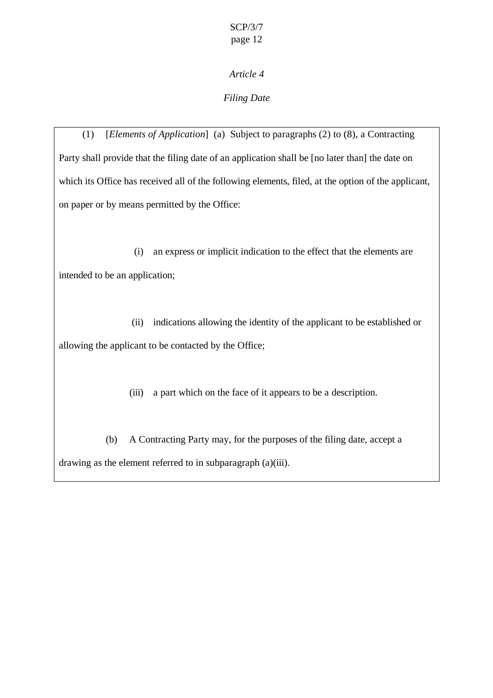## *Filing Date*

(1) [*Elements of Application*] (a) Subject to paragraphs (2) to (8), a Contracting Party shall provide that the filing date of an application shall be [no later than] the date on which its Office has received all of the following elements, filed, at the option of the applicant, on paper or by means permitted by the Office:

(i) an express or implicit indication to the effect that the elements are intended to be an application;

(ii) indications allowing the identity of the applicant to be established or allowing the applicant to be contacted by the Office;

(iii) a part which on the face of it appears to be a description.

(b) A Contracting Party may, for the purposes of the filing date, accept a drawing as the element referred to in subparagraph (a)(iii).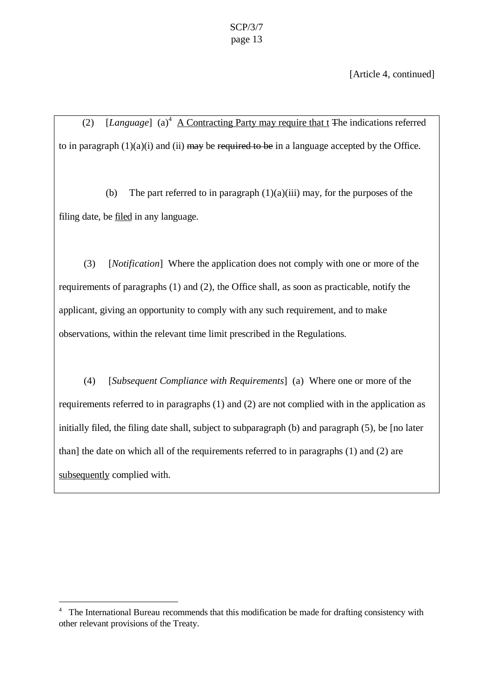[Article 4, continued]

(2)  $[Language]$  (a)<sup>4</sup> A Contracting Party may require that t The indications referred to in paragraph  $(1)(a)(i)$  and  $(ii)$  may be required to be in a language accepted by the Office.

(b) The part referred to in paragraph  $(1)(a)(iii)$  may, for the purposes of the filing date, be filed in any language.

(3) [*Notification*] Where the application does not comply with one or more of the requirements of paragraphs (1) and (2), the Office shall, as soon as practicable, notify the applicant, giving an opportunity to comply with any such requirement, and to make observations, within the relevant time limit prescribed in the Regulations.

(4) [*Subsequent Compliance with Requirements*] (a) Where one or more of the requirements referred to in paragraphs (1) and (2) are not complied with in the application as initially filed, the filing date shall, subject to subparagraph (b) and paragraph (5), be [no later than] the date on which all of the requirements referred to in paragraphs (1) and (2) are subsequently complied with.

 $\overline{a}$ 

<sup>4</sup> The International Bureau recommends that this modification be made for drafting consistency with other relevant provisions of the Treaty.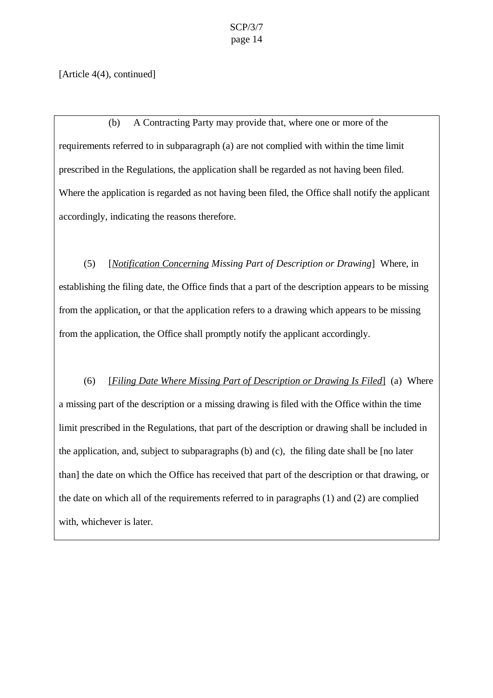[Article 4(4), continued]

(b) A Contracting Party may provide that, where one or more of the requirements referred to in subparagraph (a) are not complied with within the time limit prescribed in the Regulations, the application shall be regarded as not having been filed. Where the application is regarded as not having been filed, the Office shall notify the applicant accordingly, indicating the reasons therefore.

(5) [*Notification Concerning Missing Part of Description or Drawing*] Where, in establishing the filing date, the Office finds that a part of the description appears to be missing from the application, or that the application refers to a drawing which appears to be missing from the application, the Office shall promptly notify the applicant accordingly.

(6) [*Filing Date Where Missing Part of Description or Drawing Is Filed*] (a) Where a missing part of the description or a missing drawing is filed with the Office within the time limit prescribed in the Regulations, that part of the description or drawing shall be included in the application, and, subject to subparagraphs (b) and (c), the filing date shall be [no later than] the date on which the Office has received that part of the description or that drawing, or the date on which all of the requirements referred to in paragraphs (1) and (2) are complied with, whichever is later.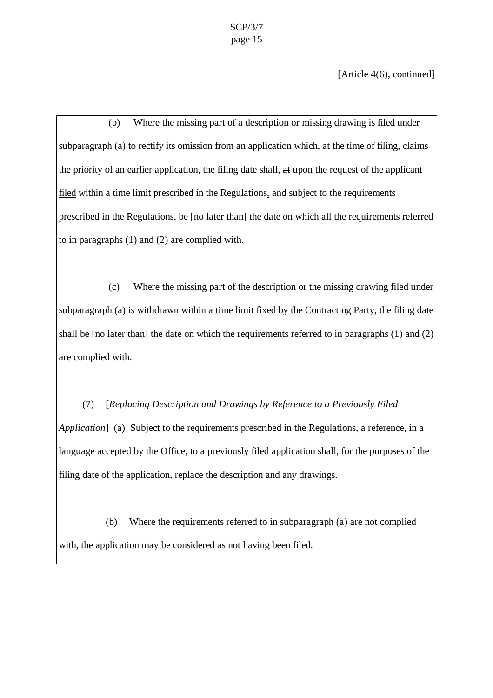[Article 4(6), continued]

(b) Where the missing part of a description or missing drawing is filed under subparagraph (a) to rectify its omission from an application which, at the time of filing, claims the priority of an earlier application, the filing date shall, at upon the request of the applicant filed within a time limit prescribed in the Regulations, and subject to the requirements prescribed in the Regulations, be [no later than] the date on which all the requirements referred to in paragraphs (1) and (2) are complied with.

(c) Where the missing part of the description or the missing drawing filed under subparagraph (a) is withdrawn within a time limit fixed by the Contracting Party, the filing date shall be [no later than] the date on which the requirements referred to in paragraphs (1) and (2) are complied with.

(7) [*Replacing Description and Drawings by Reference to a Previously Filed Application*] (a) Subject to the requirements prescribed in the Regulations, a reference, in a language accepted by the Office, to a previously filed application shall, for the purposes of the filing date of the application, replace the description and any drawings.

(b) Where the requirements referred to in subparagraph (a) are not complied with, the application may be considered as not having been filed.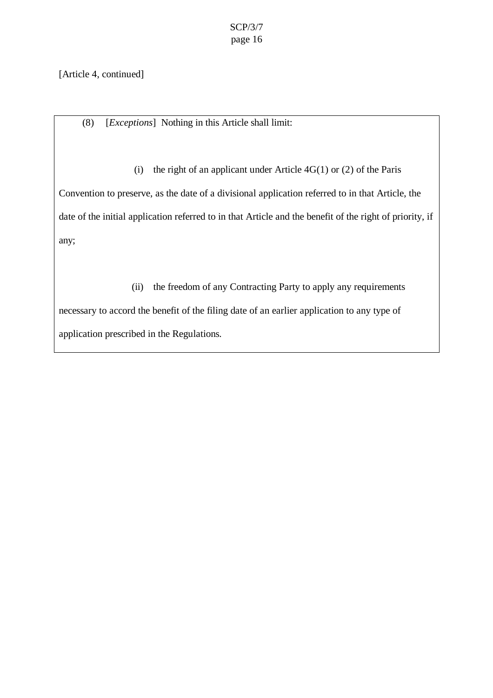[Article 4, continued]

(8) [*Exceptions*] Nothing in this Article shall limit:

(i) the right of an applicant under Article  $4G(1)$  or (2) of the Paris

Convention to preserve, as the date of a divisional application referred to in that Article, the date of the initial application referred to in that Article and the benefit of the right of priority, if any;

(ii) the freedom of any Contracting Party to apply any requirements necessary to accord the benefit of the filing date of an earlier application to any type of application prescribed in the Regulations.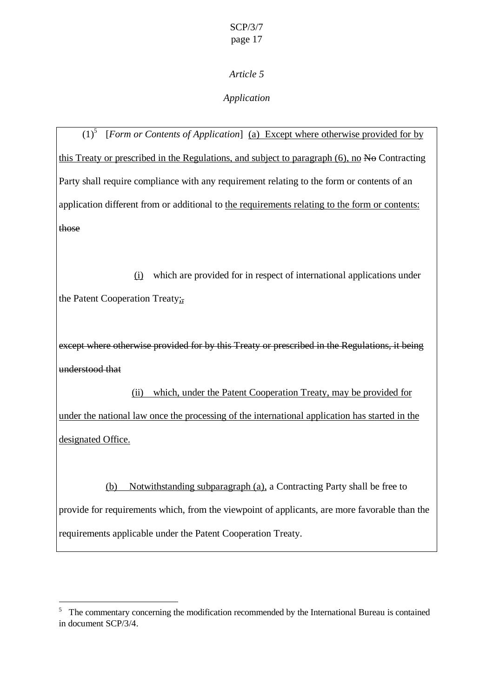## *Application*

 $(1)^5$  [*Form or Contents of Application*] <u>(a) Except where otherwise provided for by</u> this Treaty or prescribed in the Regulations, and subject to paragraph  $(6)$ , no  $N\Theta$  Contracting Party shall require compliance with any requirement relating to the form or contents of an application different from or additional to the requirements relating to the form or contents: those

(i) which are provided for in respect of international applications under the Patent Cooperation Treaty:

except where otherwise provided for by this Treaty or prescribed in the Regulations, it being understood that

(ii) which, under the Patent Cooperation Treaty, may be provided for under the national law once the processing of the international application has started in the designated Office.

(b) Notwithstanding subparagraph (a), a Contracting Party shall be free to provide for requirements which, from the viewpoint of applicants, are more favorable than the requirements applicable under the Patent Cooperation Treaty.

 $\overline{a}$ 

<sup>&</sup>lt;sup>5</sup> The commentary concerning the modification recommended by the International Bureau is contained in document SCP/3/4.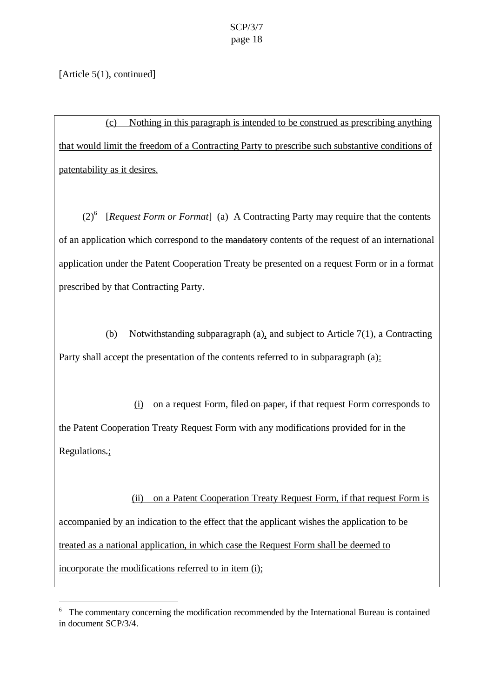[Article 5(1), continued]

 $\overline{a}$ 

(c) Nothing in this paragraph is intended to be construed as prescribing anything that would limit the freedom of a Contracting Party to prescribe such substantive conditions of patentability as it desires.

 $(2)^6$  [*Request Form or Format*] (a) A Contracting Party may require that the contents of an application which correspond to the mandatory contents of the request of an international application under the Patent Cooperation Treaty be presented on a request Form or in a format prescribed by that Contracting Party.

(b) Notwithstanding subparagraph (a), and subject to Article 7(1), a Contracting Party shall accept the presentation of the contents referred to in subparagraph (a):

(i) on a request Form, filed on paper, if that request Form corresponds to the Patent Cooperation Treaty Request Form with any modifications provided for in the Regulations.;

(ii) on a Patent Cooperation Treaty Request Form, if that request Form is accompanied by an indication to the effect that the applicant wishes the application to be treated as a national application, in which case the Request Form shall be deemed to incorporate the modifications referred to in item (i);

<sup>&</sup>lt;sup>6</sup> The commentary concerning the modification recommended by the International Bureau is contained in document SCP/3/4.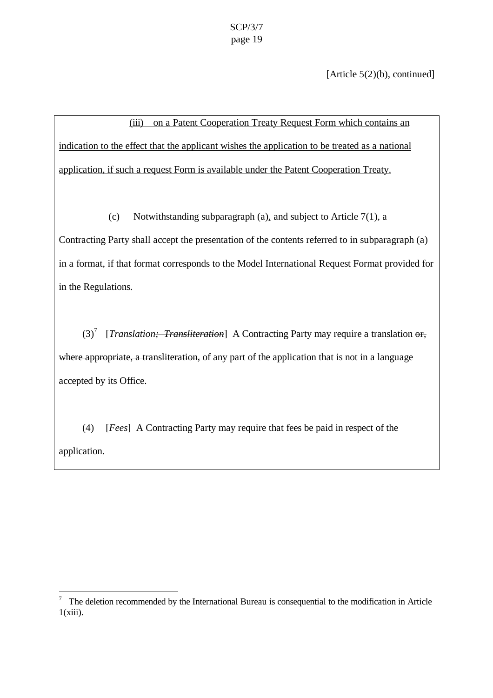[Article 5(2)(b), continued]

(iii) on a Patent Cooperation Treaty Request Form which contains an indication to the effect that the applicant wishes the application to be treated as a national application, if such a request Form is available under the Patent Cooperation Treaty.

(c) Notwithstanding subparagraph (a), and subject to Article 7(1), a

Contracting Party shall accept the presentation of the contents referred to in subparagraph (a) in a format, if that format corresponds to the Model International Request Format provided for in the Regulations.

(3)<sup>7</sup> [*Translation<del>; Transliteration*</del>] A Contracting Party may require a translation or, where appropriate, a transliteration, of any part of the application that is not in a language accepted by its Office.

(4) [*Fees*] A Contracting Party may require that fees be paid in respect of the application.

<sup>&</sup>lt;sup>7</sup> The deletion recommended by the International Bureau is consequential to the modification in Article  $1(xiii)$ .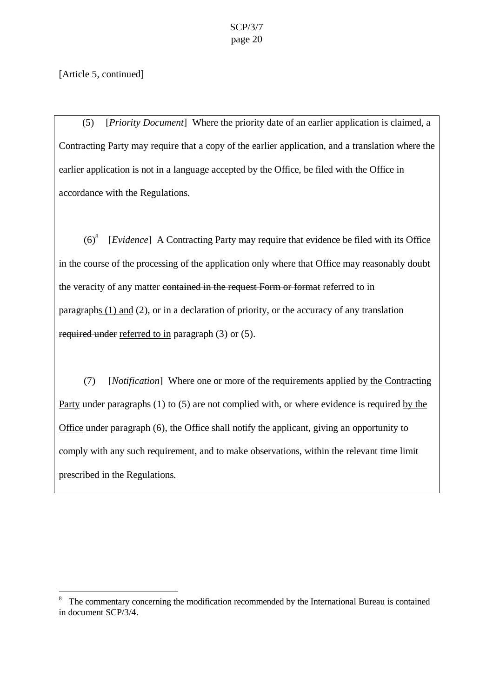### [Article 5, continued]

 $\overline{a}$ 

(5) [*Priority Document*] Where the priority date of an earlier application is claimed, a Contracting Party may require that a copy of the earlier application, and a translation where the earlier application is not in a language accepted by the Office, be filed with the Office in accordance with the Regulations.

 $(6)^8$ [*Evidence*] A Contracting Party may require that evidence be filed with its Office in the course of the processing of the application only where that Office may reasonably doubt the veracity of any matter contained in the request Form or format referred to in paragraphs  $(1)$  and  $(2)$ , or in a declaration of priority, or the accuracy of any translation required under referred to in paragraph (3) or (5).

(7) [*Notification*] Where one or more of the requirements applied by the Contracting Party under paragraphs (1) to (5) are not complied with, or where evidence is required by the Office under paragraph (6), the Office shall notify the applicant, giving an opportunity to comply with any such requirement, and to make observations, within the relevant time limit prescribed in the Regulations.

<sup>8</sup> The commentary concerning the modification recommended by the International Bureau is contained in document SCP/3/4.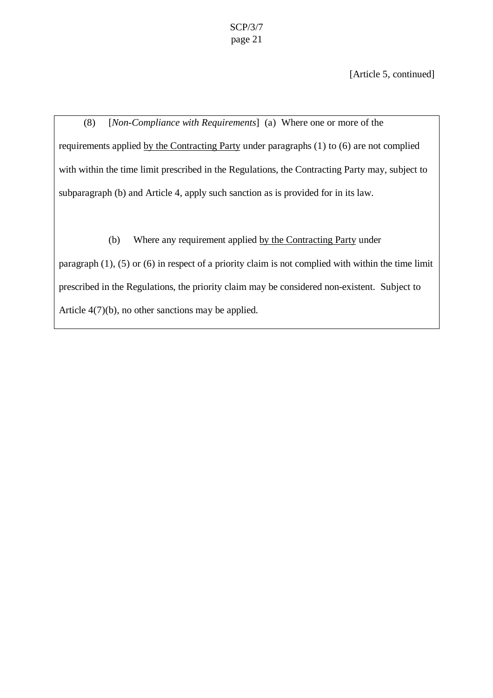[Article 5, continued]

(8) [*Non-Compliance with Requirements*] (a) Where one or more of the requirements applied by the Contracting Party under paragraphs (1) to (6) are not complied with within the time limit prescribed in the Regulations, the Contracting Party may, subject to subparagraph (b) and Article 4, apply such sanction as is provided for in its law.

(b) Where any requirement applied by the Contracting Party under

paragraph (1), (5) or (6) in respect of a priority claim is not complied with within the time limit prescribed in the Regulations, the priority claim may be considered non-existent. Subject to Article 4(7)(b), no other sanctions may be applied.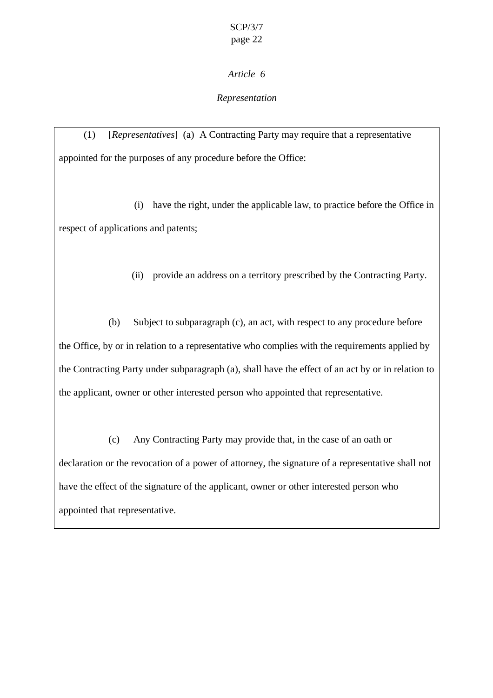## *Representation*

(1) [*Representatives*] (a) A Contracting Party may require that a representative appointed for the purposes of any procedure before the Office:

(i) have the right, under the applicable law, to practice before the Office in respect of applications and patents;

(ii) provide an address on a territory prescribed by the Contracting Party.

(b) Subject to subparagraph (c), an act, with respect to any procedure before the Office, by or in relation to a representative who complies with the requirements applied by the Contracting Party under subparagraph (a), shall have the effect of an act by or in relation to the applicant, owner or other interested person who appointed that representative.

(c) Any Contracting Party may provide that, in the case of an oath or declaration or the revocation of a power of attorney, the signature of a representative shall not have the effect of the signature of the applicant, owner or other interested person who appointed that representative.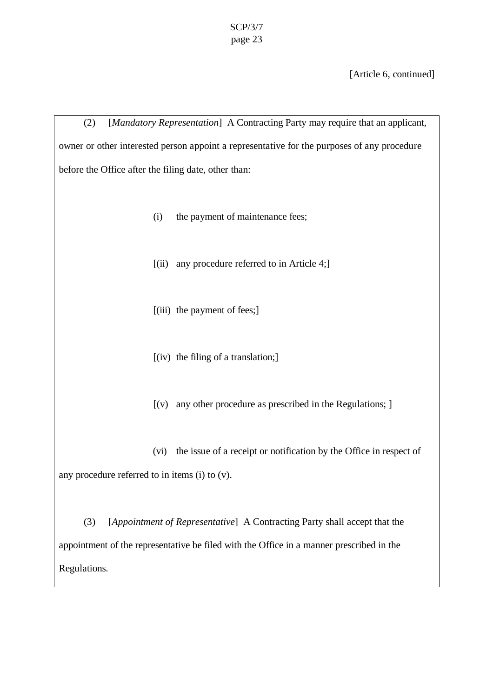[Article 6, continued]

(2) [*Mandatory Representation*] A Contracting Party may require that an applicant, owner or other interested person appoint a representative for the purposes of any procedure before the Office after the filing date, other than: (i) the payment of maintenance fees;  $[(ii)$  any procedure referred to in Article 4; [(iii) the payment of fees;] [(iv) the filing of a translation;]  $[(v)$  any other procedure as prescribed in the Regulations;  $]$ (vi) the issue of a receipt or notification by the Office in respect of any procedure referred to in items (i) to (v). (3) [*Appointment of Representative*] A Contracting Party shall accept that the appointment of the representative be filed with the Office in a manner prescribed in the Regulations.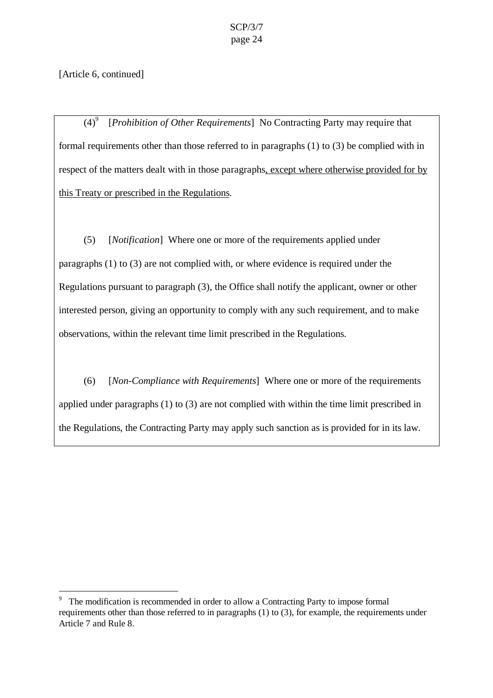[Article 6, continued]

 $\overline{a}$ 

 $(4)^9$ [*Prohibition of Other Requirements*] No Contracting Party may require that formal requirements other than those referred to in paragraphs (1) to (3) be complied with in respect of the matters dealt with in those paragraphs, except where otherwise provided for by this Treaty or prescribed in the Regulations.

(5) [*Notification*] Where one or more of the requirements applied under paragraphs (1) to (3) are not complied with, or where evidence is required under the Regulations pursuant to paragraph (3), the Office shall notify the applicant, owner or other interested person, giving an opportunity to comply with any such requirement, and to make observations, within the relevant time limit prescribed in the Regulations.

(6) [*Non-Compliance with Requirements*] Where one or more of the requirements applied under paragraphs (1) to (3) are not complied with within the time limit prescribed in the Regulations, the Contracting Party may apply such sanction as is provided for in its law.

<sup>9</sup> The modification is recommended in order to allow a Contracting Party to impose formal requirements other than those referred to in paragraphs (1) to (3), for example, the requirements under Article 7 and Rule 8.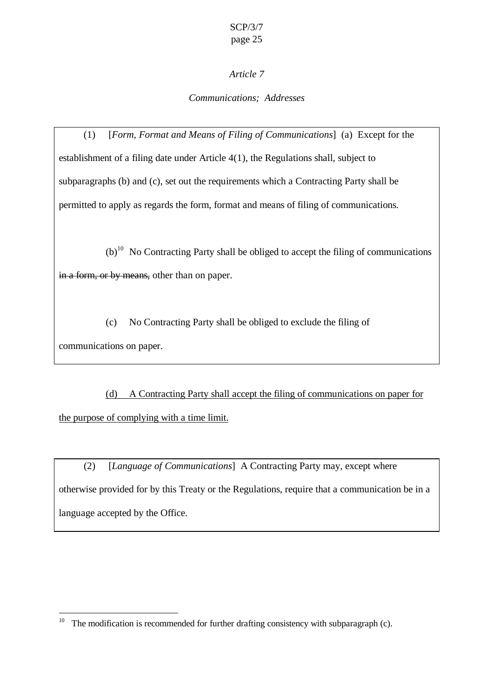## *Article 7*

### *Communications; Addresses*

(1) [*Form, Format and Means of Filing of Communications*] (a) Except for the establishment of a filing date under Article 4(1), the Regulations shall, subject to subparagraphs (b) and (c), set out the requirements which a Contracting Party shall be permitted to apply as regards the form, format and means of filing of communications.

 $(b)$ <sup>10</sup> No Contracting Party shall be obliged to accept the filing of communications in a form, or by means, other than on paper.

(c) No Contracting Party shall be obliged to exclude the filing of communications on paper.

(d) A Contracting Party shall accept the filing of communications on paper for the purpose of complying with a time limit.

(2) [*Language of Communications*] A Contracting Party may, except where otherwise provided for by this Treaty or the Regulations, require that a communication be in a language accepted by the Office.

 $\overline{a}$ 

<sup>&</sup>lt;sup>10</sup> The modification is recommended for further drafting consistency with subparagraph (c).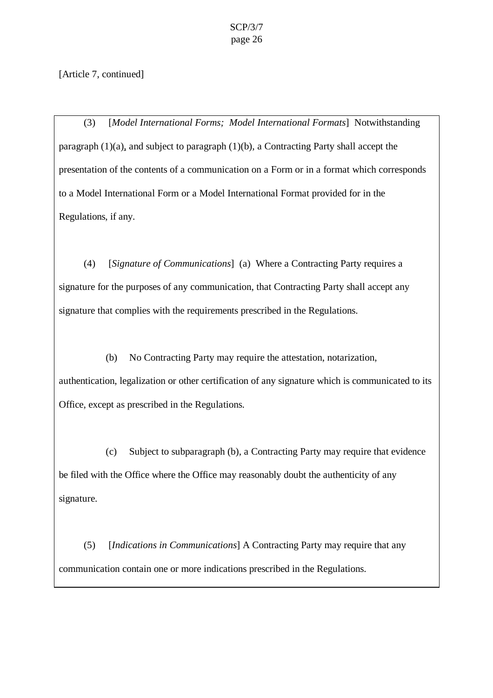[Article 7, continued]

(3) [*Model International Forms; Model International Formats*] Notwithstanding paragraph (1)(a), and subject to paragraph (1)(b), a Contracting Party shall accept the presentation of the contents of a communication on a Form or in a format which corresponds to a Model International Form or a Model International Format provided for in the Regulations, if any.

(4) [*Signature of Communications*] (a)Where a Contracting Party requires a signature for the purposes of any communication, that Contracting Party shall accept any signature that complies with the requirements prescribed in the Regulations.

(b) No Contracting Party may require the attestation, notarization, authentication, legalization or other certification of any signature which is communicated to its Office, except as prescribed in the Regulations.

(c) Subject to subparagraph (b), a Contracting Party may require that evidence be filed with the Office where the Office may reasonably doubt the authenticity of any signature.

(5) [*Indications in Communications*] A Contracting Party may require that any communication contain one or more indications prescribed in the Regulations.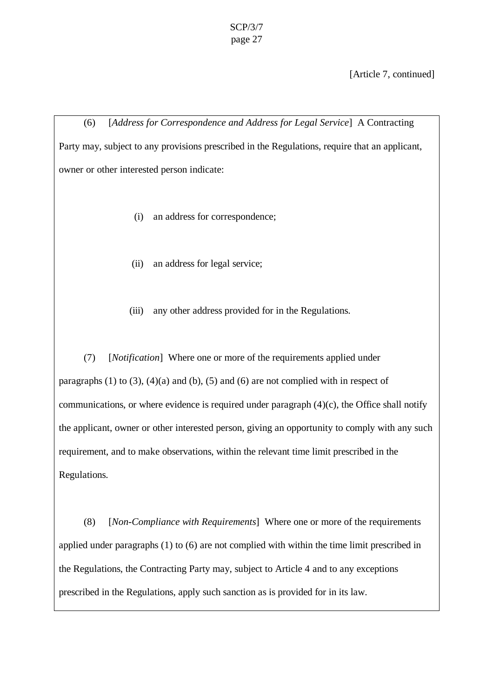[Article 7, continued]

(6) [*Address for Correspondence and Address for Legal Service*] A Contracting Party may, subject to any provisions prescribed in the Regulations, require that an applicant, owner or other interested person indicate:

- (i) an address for correspondence;
- (ii) an address for legal service;
- (iii) any other address provided for in the Regulations.

(7) [*Notification*] Where one or more of the requirements applied under paragraphs  $(1)$  to  $(3)$ ,  $(4)(a)$  and  $(b)$ ,  $(5)$  and  $(6)$  are not complied with in respect of communications, or where evidence is required under paragraph  $(4)(c)$ , the Office shall notify the applicant, owner or other interested person, giving an opportunity to comply with any such requirement, and to make observations, within the relevant time limit prescribed in the Regulations.

(8) [*Non-Compliance with Requirements*] Where one or more of the requirements applied under paragraphs (1) to (6) are not complied with within the time limit prescribed in the Regulations, the Contracting Party may, subject to Article 4 and to any exceptions prescribed in the Regulations, apply such sanction as is provided for in its law.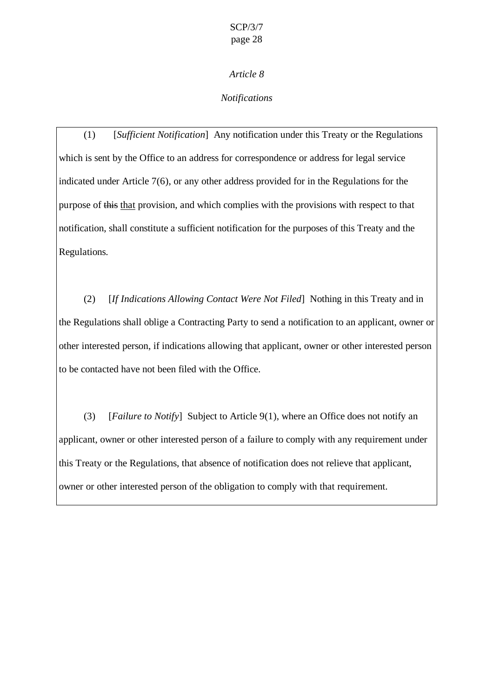*Notifications*

(1) [*Sufficient Notification*] Any notification under this Treaty or the Regulations which is sent by the Office to an address for correspondence or address for legal service indicated under Article 7(6), or any other address provided for in the Regulations for the purpose of this that provision, and which complies with the provisions with respect to that notification, shall constitute a sufficient notification for the purposes of this Treaty and the Regulations.

(2) [*If Indications Allowing Contact Were Not Filed*] Nothing in this Treaty and in the Regulations shall oblige a Contracting Party to send a notification to an applicant, owner or other interested person, if indications allowing that applicant, owner or other interested person to be contacted have not been filed with the Office.

(3) [*Failure to Notify*] Subject to Article 9(1), where an Office does not notify an applicant, owner or other interested person of a failure to comply with any requirement under this Treaty or the Regulations, that absence of notification does not relieve that applicant, owner or other interested person of the obligation to comply with that requirement.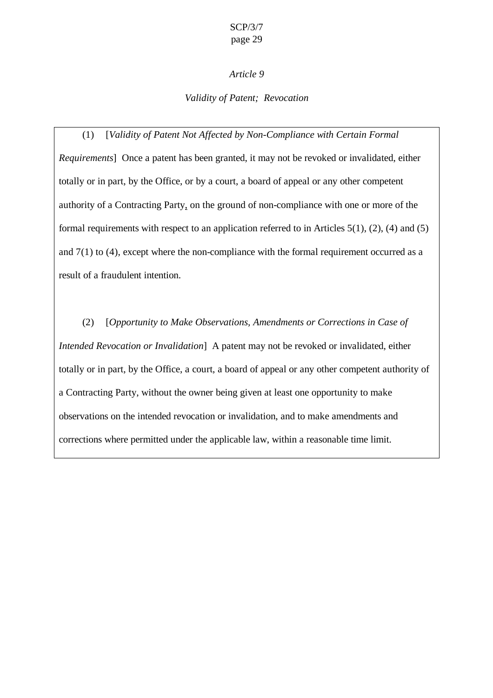### *Article 9*

### *Validity of Patent; Revocation*

(1) [*Validity of Patent Not Affected by Non-Compliance with Certain Formal Requirements*] Once a patent has been granted, it may not be revoked or invalidated, either totally or in part, by the Office, or by a court, a board of appeal or any other competent authority of a Contracting Party, on the ground of non-compliance with one or more of the formal requirements with respect to an application referred to in Articles 5(1), (2), (4) and (5) and  $7(1)$  to  $(4)$ , except where the non-compliance with the formal requirement occurred as a result of a fraudulent intention.

(2) [*Opportunity to Make Observations, Amendments or Corrections in Case of Intended Revocation or Invalidation*] A patent may not be revoked or invalidated, either totally or in part, by the Office, a court, a board of appeal or any other competent authority of a Contracting Party, without the owner being given at least one opportunity to make observations on the intended revocation or invalidation, and to make amendments and corrections where permitted under the applicable law, within a reasonable time limit.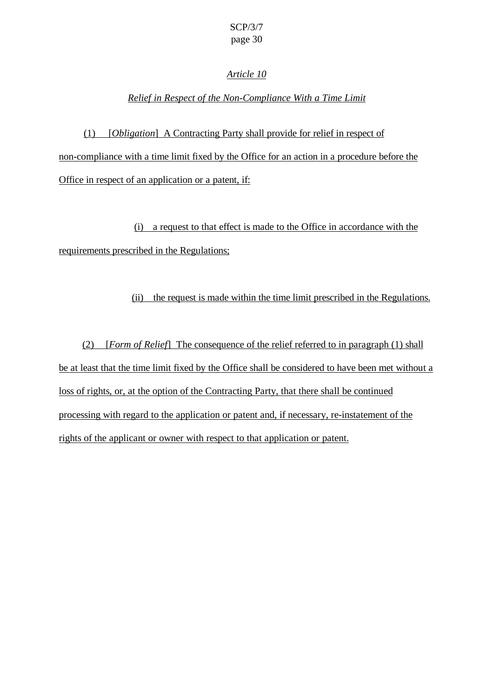### *Article 10*

## *Relief in Respect of the Non-Compliance With a Time Limit*

(1) [*Obligation*] A Contracting Party shall provide for relief in respect of non-compliance with a time limit fixed by the Office for an action in a procedure before the Office in respect of an application or a patent, if:

(i) a request to that effect is made to the Office in accordance with the requirements prescribed in the Regulations;

(ii) the request is made within the time limit prescribed in the Regulations.

(2) [*Form of Relief*] The consequence of the relief referred to in paragraph (1) shall be at least that the time limit fixed by the Office shall be considered to have been met without a loss of rights, or, at the option of the Contracting Party, that there shall be continued processing with regard to the application or patent and, if necessary, re-instatement of the rights of the applicant or owner with respect to that application or patent.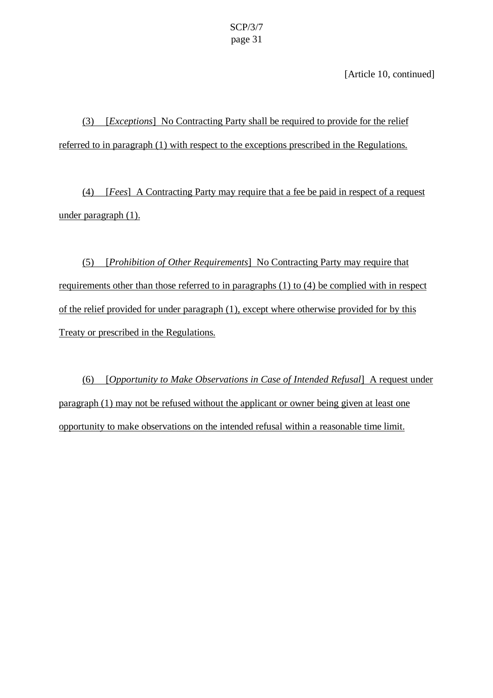[Article 10, continued]

(3) [*Exceptions*] No Contracting Party shall be required to provide for the relief referred to in paragraph (1) with respect to the exceptions prescribed in the Regulations.

(4) [*Fees*] A Contracting Party may require that a fee be paid in respect of a request under paragraph (1).

(5) [*Prohibition of Other Requirements*] No Contracting Party may require that requirements other than those referred to in paragraphs (1) to (4) be complied with in respect of the relief provided for under paragraph (1), except where otherwise provided for by this Treaty or prescribed in the Regulations.

(6) [*Opportunity to Make Observations in Case of Intended Refusal*] A request under paragraph (1) may not be refused without the applicant or owner being given at least one opportunity to make observations on the intended refusal within a reasonable time limit.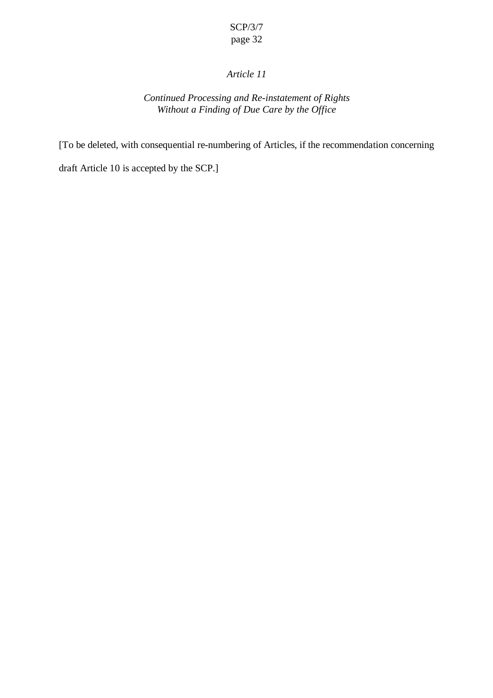## *Article 11*

## *Continued Processing and Re-instatement of Rights Without a Finding of Due Care by the Office*

[To be deleted, with consequential re-numbering of Articles, if the recommendation concerning

draft Article 10 is accepted by the SCP.]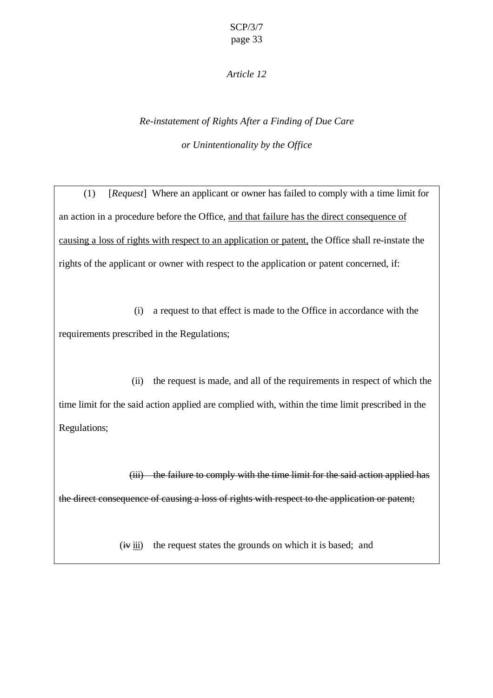### *Article 12*

# *Re-instatement of Rights After a Finding of Due Care or Unintentionality by the Office*

(1) [*Request*] Where an applicant or owner has failed to comply with a time limit for an action in a procedure before the Office, and that failure has the direct consequence of causing a loss of rights with respect to an application or patent, the Office shall re-instate the rights of the applicant or owner with respect to the application or patent concerned, if:

(i) a request to that effect is made to the Office in accordance with the requirements prescribed in the Regulations;

(ii) the request is made, and all of the requirements in respect of which the time limit for the said action applied are complied with, within the time limit prescribed in the Regulations;

(iii) the failure to comply with the time limit for the said action applied has the direct consequence of causing a loss of rights with respect to the application or patent;

 $(i\arrow ii)$  the request states the grounds on which it is based; and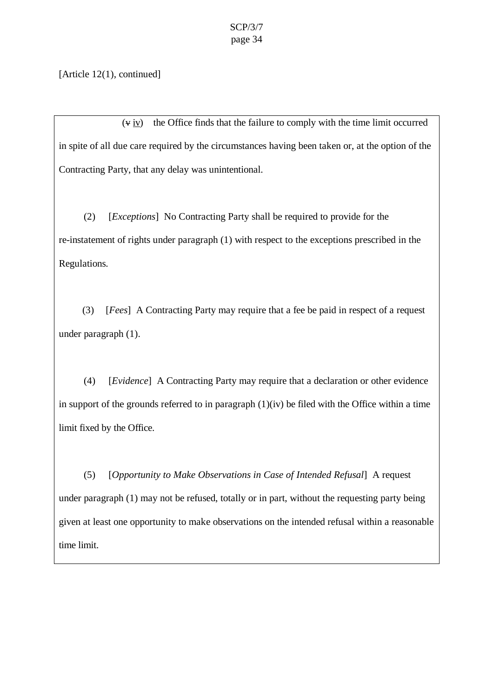[Article 12(1), continued]

 $(v, iv)$  the Office finds that the failure to comply with the time limit occurred in spite of all due care required by the circumstances having been taken or, at the option of the Contracting Party, that any delay was unintentional.

(2) [*Exceptions*] No Contracting Party shall be required to provide for the re-instatement of rights under paragraph (1) with respect to the exceptions prescribed in the Regulations.

(3) [*Fees*] A Contracting Party may require that a fee be paid in respect of a request under paragraph (1).

(4) [*Evidence*] A Contracting Party may require that a declaration or other evidence in support of the grounds referred to in paragraph  $(1)(iv)$  be filed with the Office within a time limit fixed by the Office.

(5) [*Opportunity to Make Observations in Case of Intended Refusal*] A request under paragraph (1) may not be refused, totally or in part, without the requesting party being given at least one opportunity to make observations on the intended refusal within a reasonable time limit.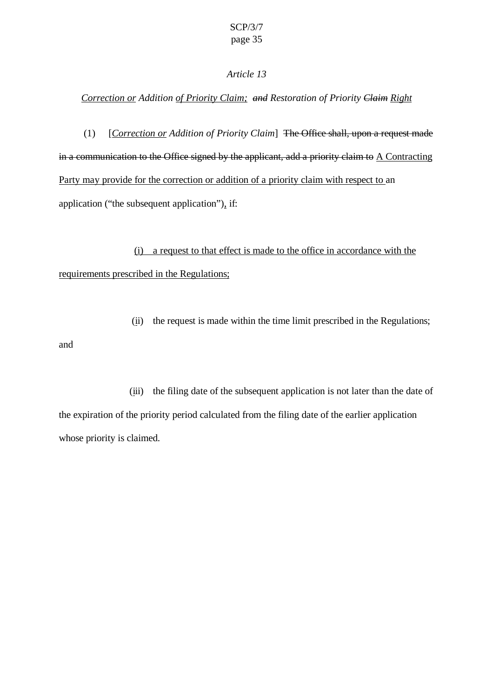### *Correction or Addition of Priority Claim; and Restoration of Priority Claim Right*

(1) [*Correction or Addition of Priority Claim*] The Office shall, upon a request made in a communication to the Office signed by the applicant, add a priority claim to  $\Lambda$  Contracting Party may provide for the correction or addition of a priority claim with respect to an application ("the subsequent application"), if:

(i) a request to that effect is made to the office in accordance with the requirements prescribed in the Regulations;

and

(ii) the request is made within the time limit prescribed in the Regulations;

(iii) the filing date of the subsequent application is not later than the date of the expiration of the priority period calculated from the filing date of the earlier application whose priority is claimed.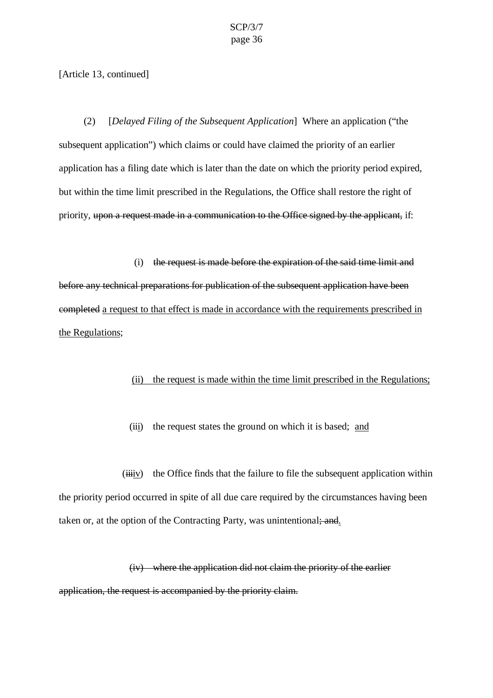[Article 13, continued]

(2) [*Delayed Filing of the Subsequent Application*] Where an application ("the subsequent application") which claims or could have claimed the priority of an earlier application has a filing date which is later than the date on which the priority period expired, but within the time limit prescribed in the Regulations, the Office shall restore the right of priority, upon a request made in a communication to the Office signed by the applicant, if:

(i) the request is made before the expiration of the said time limit and before any technical preparations for publication of the subsequent application have been completed a request to that effect is made in accordance with the requirements prescribed in the Regulations;

### (ii) the request is made within the time limit prescribed in the Regulations;

(iii) the request states the ground on which it is based; and

 $(iiiiv)$  the Office finds that the failure to file the subsequent application within the priority period occurred in spite of all due care required by the circumstances having been taken or, at the option of the Contracting Party, was unintentional; and.

(iv) where the application did not claim the priority of the earlier application, the request is accompanied by the priority claim.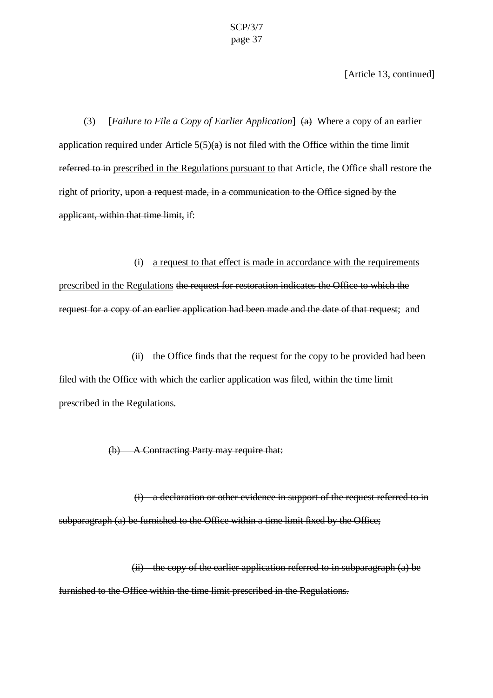[Article 13, continued]

(3) [*Failure to File a Copy of Earlier Application*] (a) Where a copy of an earlier application required under Article  $5(5)(a)$  is not filed with the Office within the time limit referred to in prescribed in the Regulations pursuant to that Article, the Office shall restore the right of priority, upon a request made, in a communication to the Office signed by the applicant, within that time limit, if:

#### (i) a request to that effect is made in accordance with the requirements

prescribed in the Regulations the request for restoration indicates the Office to which the request for a copy of an earlier application had been made and the date of that request; and

(ii) the Office finds that the request for the copy to be provided had been filed with the Office with which the earlier application was filed, within the time limit prescribed in the Regulations.

(b) A Contracting Party may require that:

(i) a declaration or other evidence in support of the request referred to in subparagraph (a) be furnished to the Office within a time limit fixed by the Office;

(ii) the copy of the earlier application referred to in subparagraph (a) be furnished to the Office within the time limit prescribed in the Regulations.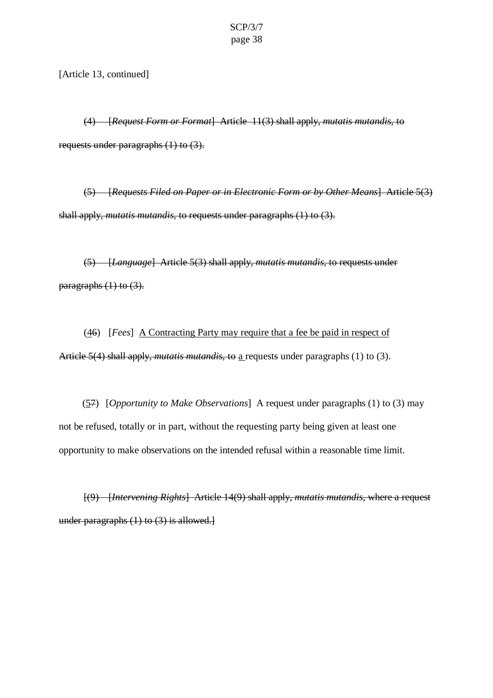[Article 13, continued]

(4) [*Request Form or Format*] Article 11(3) shall apply, *mutatis mutandis*, to requests under paragraphs (1) to (3).

(5) [*Requests Filed on Paper or in Electronic Form or by Other Means*] Article 5(3) shall apply, *mutatis mutandis*, to requests under paragraphs (1) to (3).

(5) [*Language*] Article 5(3) shall apply, *mutatis mutandis*, to requests under paragraphs  $(1)$  to  $(3)$ .

(46) [*Fees*] A Contracting Party may require that a fee be paid in respect of Article 5(4) shall apply, *mutatis mutandis*, to a requests under paragraphs (1) to (3).

(57) [*Opportunity to Make Observations*] A request under paragraphs (1) to (3) may not be refused, totally or in part, without the requesting party being given at least one opportunity to make observations on the intended refusal within a reasonable time limit.

[(9) [*Intervening Rights*] Article 14(9) shall apply, *mutatis mutandis*, where a request under paragraphs (1) to (3) is allowed.]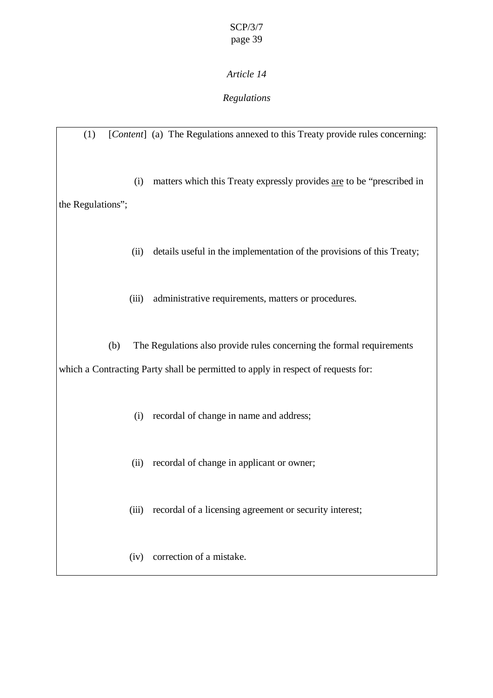## *Regulations*

(1) [*Content*] (a) The Regulations annexed to this Treaty provide rules concerning: (i) matters which this Treaty expressly provides are to be "prescribed in the Regulations"; (ii) details useful in the implementation of the provisions of this Treaty; (iii) administrative requirements, matters or procedures. (b) The Regulations also provide rules concerning the formal requirements which a Contracting Party shall be permitted to apply in respect of requests for: (i) recordal of change in name and address; (ii) recordal of change in applicant or owner; (iii) recordal of a licensing agreement or security interest; (iv) correction of a mistake.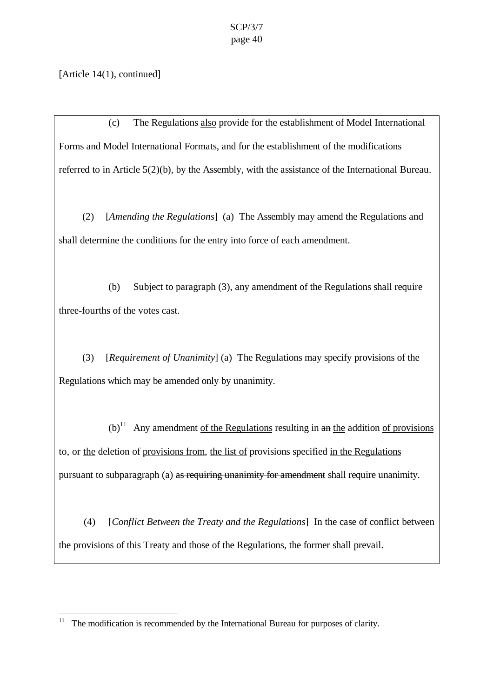[Article 14(1), continued]

 $\overline{a}$ 

(c) The Regulations also provide for the establishment of Model International Forms and Model International Formats, and for the establishment of the modifications referred to in Article 5(2)(b), by the Assembly, with the assistance of the International Bureau.

(2) [*Amending the Regulations*] (a) The Assembly may amend the Regulations and shall determine the conditions for the entry into force of each amendment.

(b) Subject to paragraph (3), any amendment of the Regulations shall require three-fourths of the votes cast.

(3) [*Requirement of Unanimity*] (a) The Regulations may specify provisions of the Regulations which may be amended only by unanimity.

 $(b)^{11}$  Any amendment of the Regulations resulting in an the addition of provisions to, or the deletion of provisions from, the list of provisions specified in the Regulations pursuant to subparagraph (a) as requiring unanimity for amendment shall require unanimity.

(4) [*Conflict Between the Treaty and the Regulations*] In the case of conflict between the provisions of this Treaty and those of the Regulations, the former shall prevail.

<sup>&</sup>lt;sup>11</sup> The modification is recommended by the International Bureau for purposes of clarity.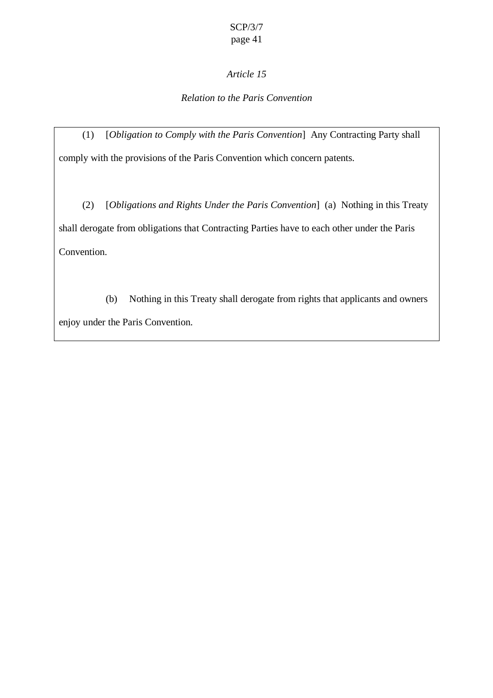## *Article 15*

## *Relation to the Paris Convention*

(1) [*Obligation to Comply with the Paris Convention*] Any Contracting Party shall comply with the provisions of the Paris Convention which concern patents.

(2) [*Obligations and Rights Under the Paris Convention*] (a) Nothing in this Treaty shall derogate from obligations that Contracting Parties have to each other under the Paris Convention.

(b) Nothing in this Treaty shall derogate from rights that applicants and owners enjoy under the Paris Convention.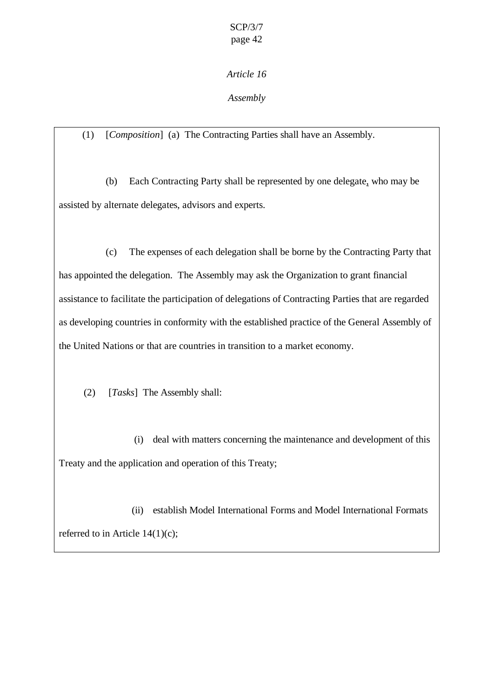*Assembly*

(1) [*Composition*] (a) The Contracting Parties shall have an Assembly.

(b) Each Contracting Party shall be represented by one delegate, who may be assisted by alternate delegates, advisors and experts.

(c) The expenses of each delegation shall be borne by the Contracting Party that has appointed the delegation. The Assembly may ask the Organization to grant financial assistance to facilitate the participation of delegations of Contracting Parties that are regarded as developing countries in conformity with the established practice of the General Assembly of the United Nations or that are countries in transition to a market economy.

(2) [*Tasks*] The Assembly shall:

(i) deal with matters concerning the maintenance and development of this Treaty and the application and operation of this Treaty;

(ii) establish Model International Forms and Model International Formats referred to in Article 14(1)(c);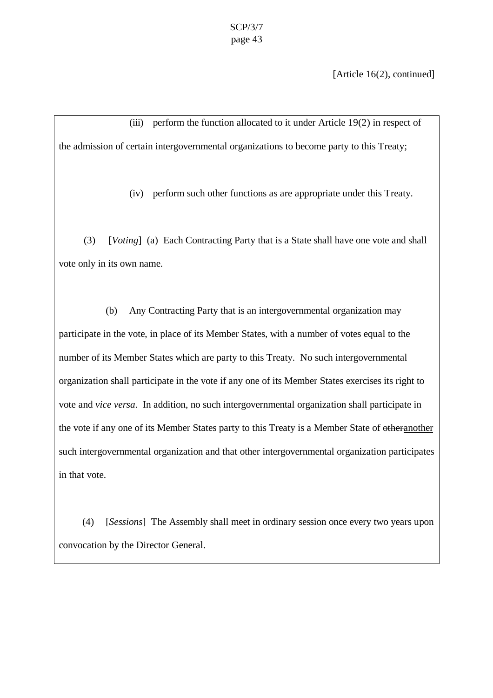[Article 16(2), continued]

(iii) perform the function allocated to it under Article 19(2) in respect of the admission of certain intergovernmental organizations to become party to this Treaty;

(iv) perform such other functions as are appropriate under this Treaty.

(3) [*Voting*] (a) Each Contracting Party that is a State shall have one vote and shall vote only in its own name.

(b) Any Contracting Party that is an intergovernmental organization may participate in the vote, in place of its Member States, with a number of votes equal to the number of its Member States which are party to this Treaty. No such intergovernmental organization shall participate in the vote if any one of its Member States exercises its right to vote and *vice versa*. In addition, no such intergovernmental organization shall participate in the vote if any one of its Member States party to this Treaty is a Member State of otheranother such intergovernmental organization and that other intergovernmental organization participates in that vote.

(4) [*Sessions*] The Assembly shall meet in ordinary session once every two years upon convocation by the Director General.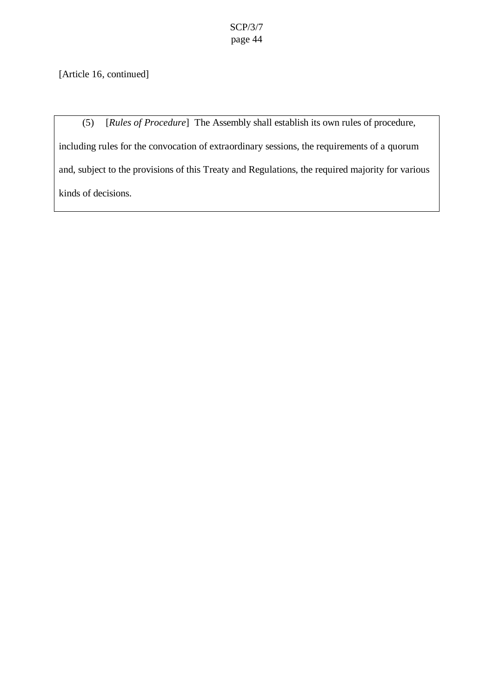[Article 16, continued]

(5) [*Rules of Procedure*] The Assembly shall establish its own rules of procedure, including rules for the convocation of extraordinary sessions, the requirements of a quorum and, subject to the provisions of this Treaty and Regulations, the required majority for various kinds of decisions.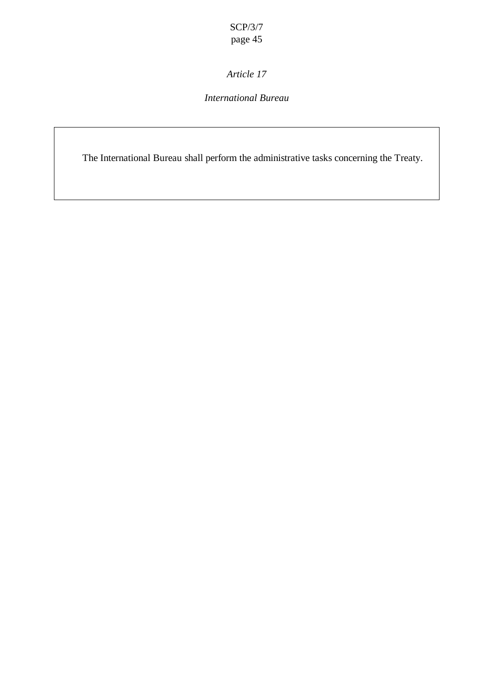*Article 17*

## *International Bureau*

The International Bureau shall perform the administrative tasks concerning the Treaty.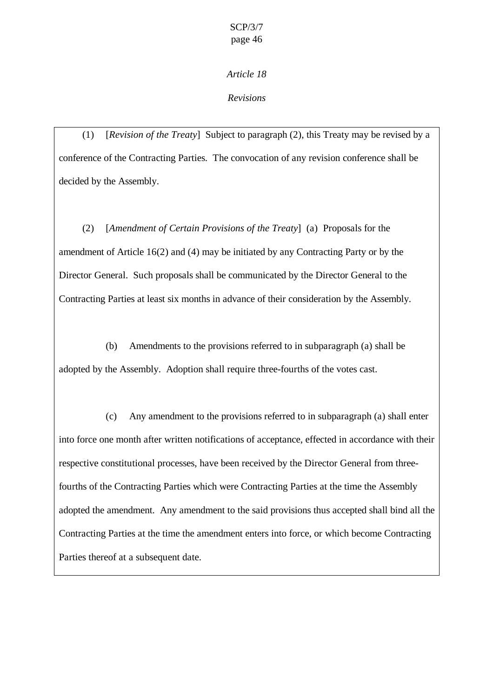## *Revisions*

(1) [*Revision of the Treaty*] Subject to paragraph (2), this Treaty may be revised by a conference of the Contracting Parties. The convocation of any revision conference shall be decided by the Assembly.

(2) [*Amendment of Certain Provisions of the Treaty*] (a) Proposals for the amendment of Article 16(2) and (4) may be initiated by any Contracting Party or by the Director General. Such proposals shall be communicated by the Director General to the Contracting Parties at least six months in advance of their consideration by the Assembly.

(b) Amendments to the provisions referred to in subparagraph (a) shall be adopted by the Assembly. Adoption shall require three-fourths of the votes cast.

(c) Any amendment to the provisions referred to in subparagraph (a) shall enter into force one month after written notifications of acceptance, effected in accordance with their respective constitutional processes, have been received by the Director General from threefourths of the Contracting Parties which were Contracting Parties at the time the Assembly adopted the amendment. Any amendment to the said provisions thus accepted shall bind all the Contracting Parties at the time the amendment enters into force, or which become Contracting Parties thereof at a subsequent date.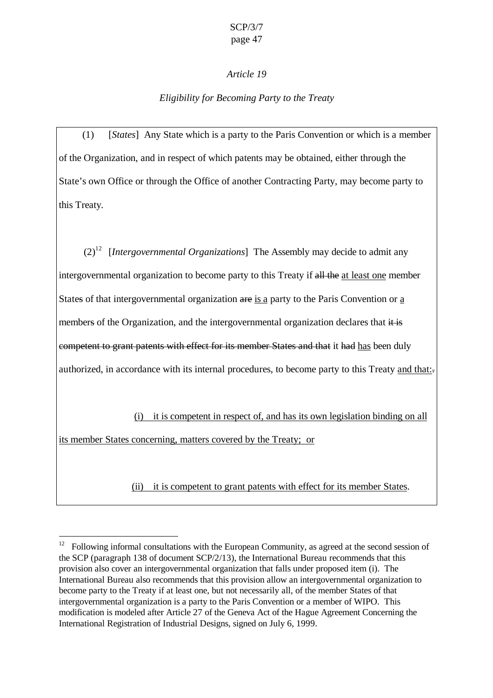### *Article 19*

## *Eligibility for Becoming Party to the Treaty*

(1) [*States*] Any State which is a party to the Paris Convention or which is a member of the Organization, and in respect of which patents may be obtained, either through the State's own Office or through the Office of another Contracting Party, may become party to this Treaty*.*

 $(2)^{12}$  *[Intergovernmental Organizations]* The Assembly may decide to admit any intergovernmental organization to become party to this Treaty if all the at least one member States of that intergovernmental organization are is a party to the Paris Convention or a members of the Organization, and the intergovernmental organization declares that it is competent to grant patents with effect for its member States and that it had has been duly authorized, in accordance with its internal procedures, to become party to this Treaty and that:

(i) it is competent in respect of, and has its own legislation binding on all its member States concerning, matters covered by the Treaty; or

(ii) it is competent to grant patents with effect for its member States.

 $\overline{a}$ 

<sup>12</sup> Following informal consultations with the European Community, as agreed at the second session of the SCP (paragraph 138 of document SCP/2/13), the International Bureau recommends that this provision also cover an intergovernmental organization that falls under proposed item (i). The International Bureau also recommends that this provision allow an intergovernmental organization to become party to the Treaty if at least one, but not necessarily all, of the member States of that intergovernmental organization is a party to the Paris Convention or a member of WIPO. This modification is modeled after Article 27 of the Geneva Act of the Hague Agreement Concerning the International Registration of Industrial Designs, signed on July 6, 1999.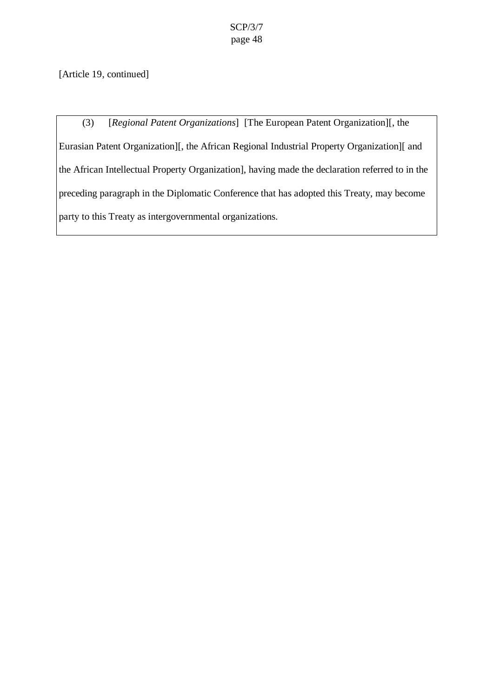[Article 19, continued]

(3) [*Regional Patent Organizations*] [The European Patent Organization][, the Eurasian Patent Organization][, the African Regional Industrial Property Organization][ and the African Intellectual Property Organization], having made the declaration referred to in the preceding paragraph in the Diplomatic Conference that has adopted this Treaty, may become party to this Treaty as intergovernmental organizations.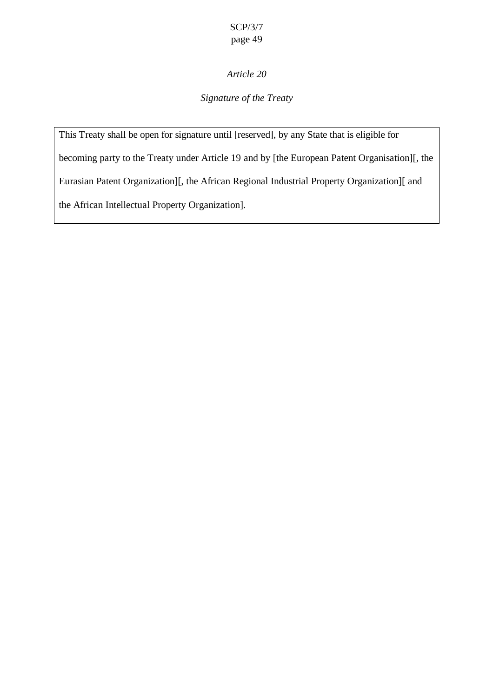## *Article 20*

## *Signature of the Treaty*

This Treaty shall be open for signature until [reserved], by any State that is eligible for becoming party to the Treaty under Article 19 and by [the European Patent Organisation][, the Eurasian Patent Organization][, the African Regional Industrial Property Organization][ and the African Intellectual Property Organization].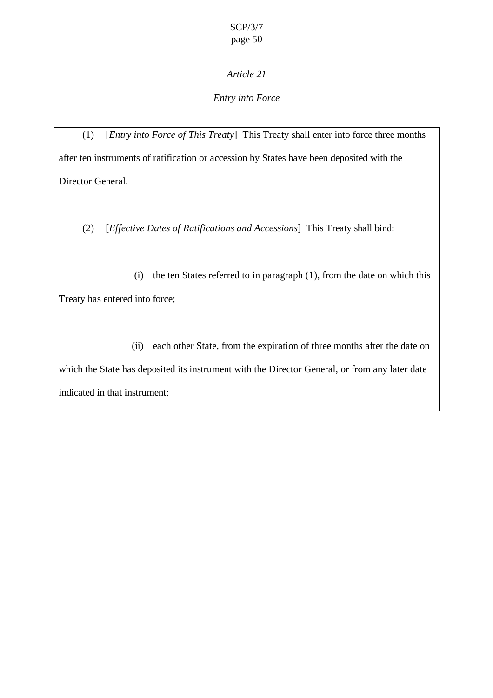## *Entry into Force*

(1) [*Entry into Force of This Treaty*] This Treaty shall enter into force three months after ten instruments of ratification or accession by States have been deposited with the Director General.

(2) [*Effective Dates of Ratifications and Accessions*] This Treaty shall bind:

(i) the ten States referred to in paragraph (1), from the date on which this Treaty has entered into force;

(ii) each other State, from the expiration of three months after the date on which the State has deposited its instrument with the Director General, or from any later date indicated in that instrument;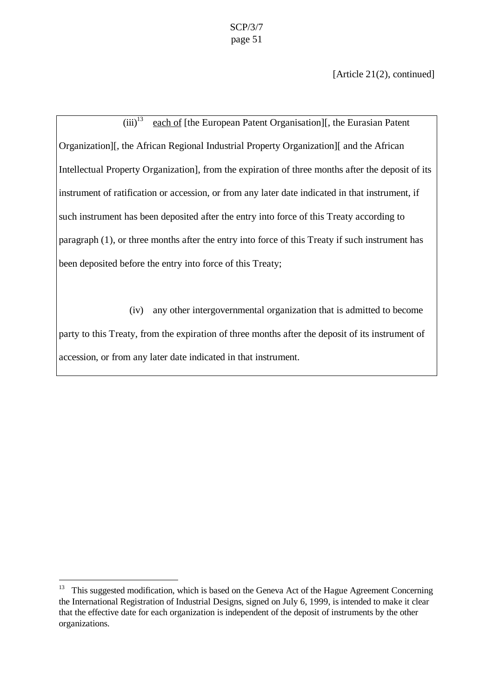[Article 21(2), continued]

 $(iii)^{13}$  each of [the European Patent Organisation]], the Eurasian Patent Organization][, the African Regional Industrial Property Organization][ and the African Intellectual Property Organization], from the expiration of three months after the deposit of its instrument of ratification or accession, or from any later date indicated in that instrument, if such instrument has been deposited after the entry into force of this Treaty according to paragraph (1), or three months after the entry into force of this Treaty if such instrument has been deposited before the entry into force of this Treaty;

(iv) any other intergovernmental organization that is admitted to become party to this Treaty, from the expiration of three months after the deposit of its instrument of accession, or from any later date indicated in that instrument.

 $\overline{a}$ 

<sup>&</sup>lt;sup>13</sup> This suggested modification, which is based on the Geneva Act of the Hague Agreement Concerning the International Registration of Industrial Designs, signed on July 6, 1999, is intended to make it clear that the effective date for each organization is independent of the deposit of instruments by the other organizations.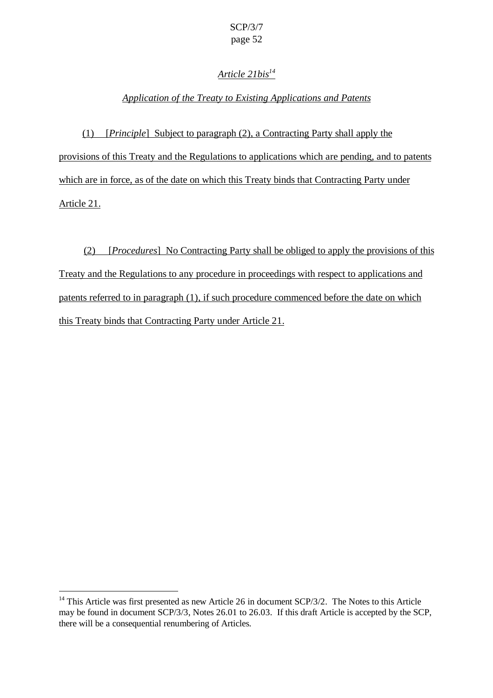## *Article 21bis<sup>14</sup>*

### *Application of the Treaty to Existing Applications and Patents*

(1) [*Principle*] Subject to paragraph (2), a Contracting Party shall apply the provisions of this Treaty and the Regulations to applications which are pending, and to patents which are in force, as of the date on which this Treaty binds that Contracting Party under Article 21.

(2) [*Procedures*] No Contracting Party shall be obliged to apply the provisions of this Treaty and the Regulations to any procedure in proceedings with respect to applications and patents referred to in paragraph (1), if such procedure commenced before the date on which this Treaty binds that Contracting Party under Article 21.

 $\overline{a}$ 

 $14$  This Article was first presented as new Article 26 in document SCP/3/2. The Notes to this Article may be found in document SCP/3/3, Notes 26.01 to 26.03. If this draft Article is accepted by the SCP, there will be a consequential renumbering of Articles.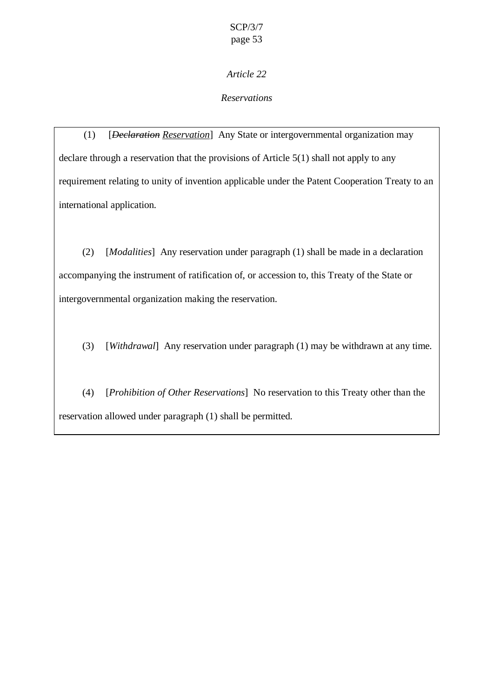### *Reservations*

(1) [*Declaration Reservation*] Any State or intergovernmental organization may declare through a reservation that the provisions of Article 5(1) shall not apply to any requirement relating to unity of invention applicable under the Patent Cooperation Treaty to an international application.

(2) [*Modalities*] Any reservation under paragraph (1) shall be made in a declaration accompanying the instrument of ratification of, or accession to, this Treaty of the State or intergovernmental organization making the reservation.

(3) [*Withdrawal*] Any reservation under paragraph (1) may be withdrawn at any time.

(4) [*Prohibition of Other Reservations*] No reservation to this Treaty other than the reservation allowed under paragraph (1) shall be permitted.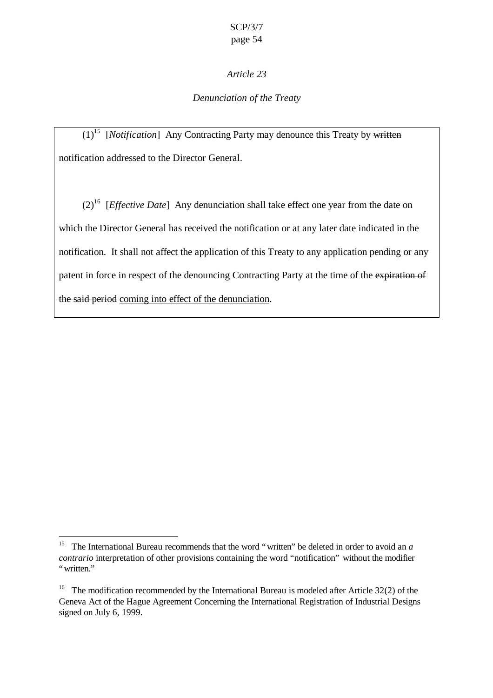### *Denunciation of the Treaty*

 $(1)$ <sup>15</sup> [*Notification*] Any Contracting Party may denounce this Treaty by written notification addressed to the Director General.

(2)<sup>16</sup> [*Effective Date*] Any denunciation shall take effect one year from the date on which the Director General has received the notification or at any later date indicated in the notification. It shall not affect the application of this Treaty to any application pending or any patent in force in respect of the denouncing Contracting Party at the time of the expiration of the said period coming into effect of the denunciation.

 $\overline{a}$ 

<sup>&</sup>lt;sup>15</sup> The International Bureau recommends that the word "written" be deleted in order to avoid an *a contrario* interpretation of other provisions containing the word "notification" without the modifier "written"

<sup>&</sup>lt;sup>16</sup> The modification recommended by the International Bureau is modeled after Article 32(2) of the Geneva Act of the Hague Agreement Concerning the International Registration of Industrial Designs signed on July 6, 1999.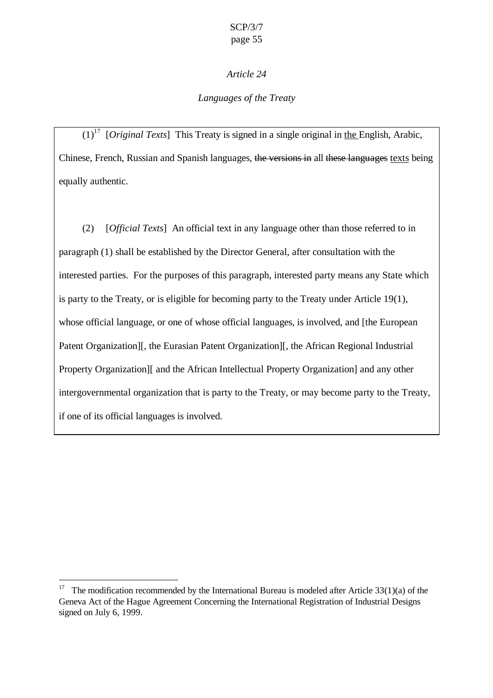## *Languages of the Treaty*

 $(1)^{17}$  *[Original Texts]* This Treaty is signed in a single original in the English, Arabic, Chinese, French, Russian and Spanish languages, the versions in all these languages texts being equally authentic.

(2) [*Official Texts*] An official text in any language other than those referred to in paragraph (1) shall be established by the Director General, after consultation with the interested parties. For the purposes of this paragraph, interested party means any State which is party to the Treaty, or is eligible for becoming party to the Treaty under Article 19(1), whose official language, or one of whose official languages, is involved, and [the European Patent Organization][, the Eurasian Patent Organization][, the African Regional Industrial Property Organization][ and the African Intellectual Property Organization] and any other intergovernmental organization that is party to the Treaty, or may become party to the Treaty, if one of its official languages is involved.

 $\overline{a}$ 

<sup>&</sup>lt;sup>17</sup> The modification recommended by the International Bureau is modeled after Article  $33(1)(a)$  of the Geneva Act of the Hague Agreement Concerning the International Registration of Industrial Designs signed on July 6, 1999.